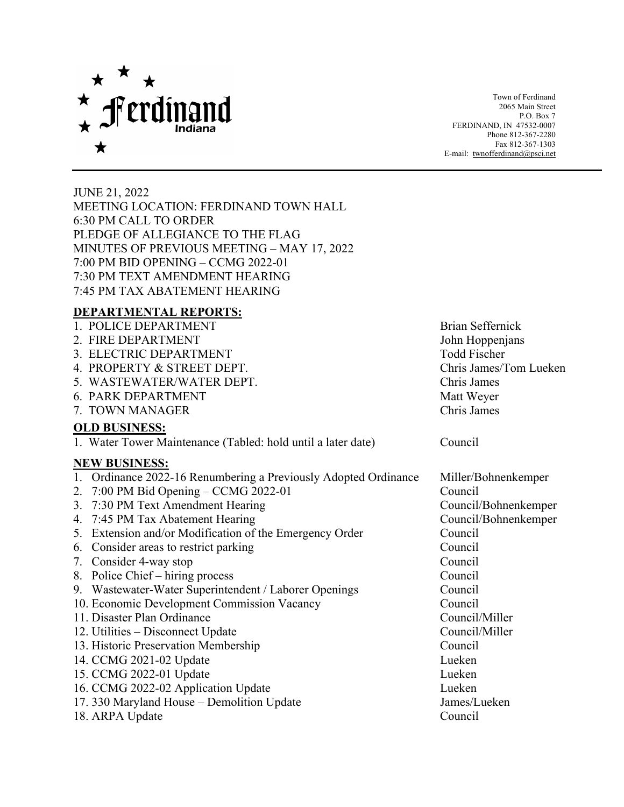

Town of Ferdinand 2065 Main Street P.O. Box 7 FERDINAND, IN 47532-0007 Phone 812-367-2280 Fax 812-367-1303 E-mail: [twnofferdinand@psci.net](mailto:twnofferdinand@psci.net)

JUNE 21, 2022 MEETING LOCATION: FERDINAND TOWN HALL 6:30 PM CALL TO ORDER PLEDGE OF ALLEGIANCE TO THE FLAG MINUTES OF PREVIOUS MEETING – MAY 17, 2022 7:00 PM BID OPENING – CCMG 2022-01 7:30 PM TEXT AMENDMENT HEARING 7:45 PM TAX ABATEMENT HEARING

## **DEPARTMENTAL REPORTS:**

| 1. POLICE DEPARTMENT                                            | <b>Brian Seffernick</b> |
|-----------------------------------------------------------------|-------------------------|
| 2. FIRE DEPARTMENT                                              | John Hoppenjans         |
| 3. ELECTRIC DEPARTMENT                                          | <b>Todd Fischer</b>     |
| 4. PROPERTY & STREET DEPT.                                      | Chris James/Tom Lueken  |
| 5. WASTEWATER/WATER DEPT.                                       | Chris James             |
| 6. PARK DEPARTMENT                                              | Matt Weyer              |
| 7. TOWN MANAGER                                                 | Chris James             |
| <b>OLD BUSINESS:</b>                                            |                         |
| 1. Water Tower Maintenance (Tabled: hold until a later date)    | Council                 |
| <b>NEW BUSINESS:</b>                                            |                         |
| 1. Ordinance 2022-16 Renumbering a Previously Adopted Ordinance | Miller/Bohnenkemper     |
| 2. $7:00$ PM Bid Opening – CCMG 2022-01                         | Council                 |
| 3. 7:30 PM Text Amendment Hearing                               | Council/Bohnenkemper    |
| 4. 7:45 PM Tax Abatement Hearing                                | Council/Bohnenkemper    |
| 5. Extension and/or Modification of the Emergency Order         | Council                 |
| 6. Consider areas to restrict parking                           | Council                 |
| 7. Consider 4-way stop                                          | Council                 |
| 8. Police Chief – hiring process                                | Council                 |
| 9. Wastewater-Water Superintendent / Laborer Openings           | Council                 |
| 10. Economic Development Commission Vacancy                     | Council                 |
| 11. Disaster Plan Ordinance                                     | Council/Miller          |
| 12. Utilities – Disconnect Update                               | Council/Miller          |
| 13. Historic Preservation Membership                            | Council                 |
| 14. CCMG 2021-02 Update                                         | Lueken                  |
| 15. CCMG 2022-01 Update                                         | Lueken                  |
| 16. CCMG 2022-02 Application Update                             | Lueken                  |
| 17. 330 Maryland House - Demolition Update                      | James/Lueken            |
| 18. ARPA Update                                                 | Council                 |